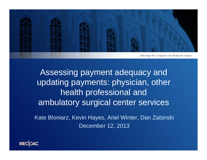

Assessing payment adequacy and updating payments: physician, other health professional and ambulatory surgical center services

Kate Bloniarz, Kevin Hayes, Ariel Winter, Dan Zabinski December 12, 2013

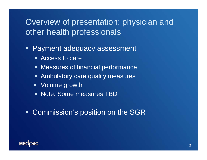## Overview of presentation: physician and other health professionals

- Ξ Payment adequacy assessment
	- Access to care
	- **Measures of financial performance**
	- **Example 10 Ambulatory care quality measures**
	- Volume growth
	- **Note: Some measures TBD**

#### **• Commission's position on the SGR**

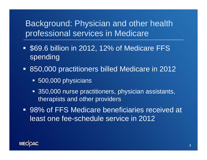## Background: Physician and other health professional services in Medicare

- $\blacksquare$  \$69.6 billion in 2012, 12% of Medicare FFS spending
- 850,000 practitioners billed Medicare in 2012
	- **500,000 physicians**
	- 350,000 nurse practitioners, physician assistants, therapists and other providers
- 98% of FFS Medicare beneficiaries received at least one fee-schedule service in 2012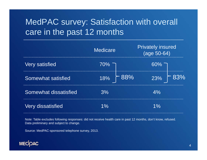## MedPAC survey: Satisfaction with overall care in the past 12 months

|                          | <b>Medicare</b>    | <b>Privately insured</b><br>(age 50-64) |
|--------------------------|--------------------|-----------------------------------------|
| <b>Very satisfied</b>    | $70\%$ T           | $60\%$                                  |
| Somewhat satisfied       | 18% $\sim 88\%$    | $\mathcal{F}$ 83%<br>23%                |
| Somewhat dissatisfied    | 3%                 | 4%                                      |
| <b>Very dissatisfied</b> | $\frac{O}{\Omega}$ |                                         |

Note: Table excludes following responses: did not receive health care in past 12 months, don't know, refused. Data preliminary and subject to change.

Source: MedPAC-sponsored telephone survey, 2013.

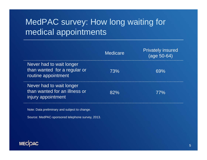## MedPAC survey: How long waiting for medical appointments

|                                                                                 | <b>Medicare</b> | <b>Privately insured</b><br>$(age 50-64)$ |
|---------------------------------------------------------------------------------|-----------------|-------------------------------------------|
| Never had to wait longer<br>than wanted for a regular or<br>routine appointment | 73%             | 69%                                       |
| Never had to wait longer<br>than wanted for an illness or<br>injury appointment | 82%             | 77%                                       |

Note: Data preliminary and subject to change.

Source: MedPAC-sponsored telephone survey, 2013.

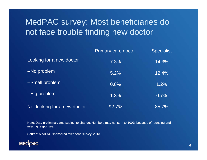## MedPAC survey: Most beneficiaries do not face trouble finding new doctor

|                              | <b>Primary care doctor</b> | <b>Specialist</b> |
|------------------------------|----------------------------|-------------------|
| Looking for a new doctor     | 7.3%                       | 14.3%             |
| --No problem                 | 5.2%                       | 12.4%             |
| --Small problem              | 0.8%                       | 1.2%              |
| --Big problem                | 1.3%                       | 0.7%              |
| Not looking for a new doctor | 92.7%                      | 85.7%             |

Note: Data preliminary and subject to change. Numbers may not sum to 100% because of rounding and missing responses.

Source: MedPAC-sponsored telephone survey, 2013.

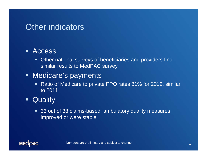### Other indicators

#### $\blacksquare$ Access

**• Other national surveys of beneficiaries and providers find** similar results to MedPAC survey

#### **■ Medicare's payments**

- **Ratio of Medicare to private PPO rates 81% for 2012, similar** to 2011
- $\blacksquare$ **Quality** 
	- 33 out of 38 claims-based, ambulatory quality measures improved or were stable

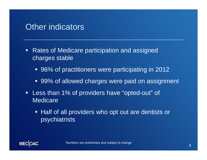### Other indicators

- $\blacksquare$  Rates of Medicare participation and assigned charges stable
	- 96% of practitioners were participating in 2012
	- 99% of allowed charges were paid on assignment
- $\blacksquare$  Less than 1% of providers have "opted-out" of **Medicare** 
	- **Half of all providers who opt out are dentists or** psychiatrists

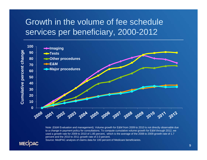## Growth in the volume of fee schedule services per beneficiary, 2000-2012



Note: (E&M Evaluation and management). Volume growth for E&M from 2009 to 2010 is not directly observable due to a change in payment policy for consultations. To compute cumulative volume growth for E&M through 2012, we used a growth rate for 2009 to 2010 of 1.85 percent, which is the average of the 2008 to 2009 growth rate of 1.7 percent and the 2010 to 2011 growth rate of 2.0 percent.

Source: MedPAC analysis of claims data for 100 percent of Medicare beneficiaries.

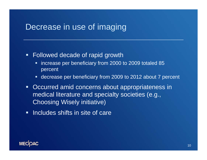### Decrease in use of imaging

#### Followed decade of rapid growth

- $\blacksquare$  increase per beneficiary from 2000 to 2009 totaled 85 percent
- decrease per beneficiary from 2009 to 2012 about 7 percent
- $\blacksquare$  Occurred amid concerns about appropriateness in medical literature and specialty societies (e.g., Choosing Wisely initiative)
- **Includes shifts in site of care**

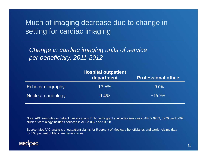#### Much of imaging decrease due to change in setting for cardiac imaging

*Change in cardiac imaging units of service per beneficiary, 2011-2012*

|                    | <b>Hospital outpatient</b><br>department | <b>Professional office</b> |
|--------------------|------------------------------------------|----------------------------|
| Echocardiography   | 13.5%                                    | $-9.0\%$                   |
| Nuclear cardiology | $9.4\%$                                  | $-15.9%$                   |

Note: APC (ambulatory patient classification). Echocardiography includes services in APCs 0269, 0270, and 0697. Nuclear cardiology includes services in APCs 0377 and 0398.

Source: MedPAC analysis of outpatient claims for 5 percent of Medicare beneficiaries and carrier claims data for 100 percent of Medicare beneficiaries.

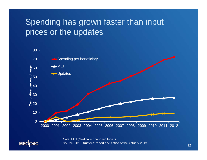## Spending has grown faster than input prices or the updates



Note: MEI (Medicare Economic Index). Source: 2013 trustees' report and Office of the Actuary 2013.

MECOAC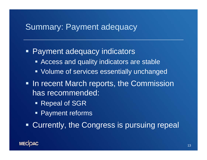#### Summary: Payment adequacy

**Payment adequacy indicators Access and quality indicators are stable • Volume of services essentially unchanged In recent March reports, the Commission** has recommended: ■ Repeal of SGR

Payment reforms

**- Currently, the Congress is pursuing repeal**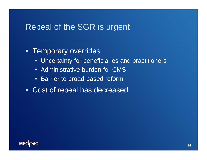### Repeal of the SGR is urgent

#### Ξ Temporary overrides

- **Uncertainty for beneficiaries and practitioners**
- **Administrative burden for CMS**
- $\blacksquare$ Barrier to broad-based reform
- Cost of repeal has decreased

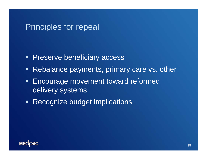### Principles for repeal

- $\blacksquare$ Preserve beneficiary access
- **Rebalance payments, primary care vs. other**
- Encourage movement toward reformed delivery systems
- **Recognize budget implications**

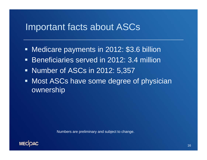## Important facts about ASCs

- $\blacksquare$ Medicare payments in 2012: \$3.6 billion
- **Beneficiaries served in 2012: 3.4 million**
- **Number of ASCs in 2012: 5,357**
- **Most ASCs have some degree of physician** ownership

Numbers are preliminary and subject to change.

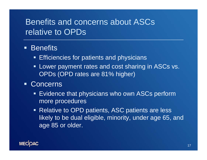## Benefits and concerns about ASCs relative to OPDs

#### **• Benefits**

- $\blacksquare$ Efficiencies for patients and physicians
- $\blacksquare$  Lower payment rates and cost sharing in ASCs vs. OPDs (OPD rates are 81% higher)

#### **Concerns**

- Evidence that physicians who own ASCs perform more procedures
- Relative to OPD patients, ASC patients are less likely to be dual eligible, minority, under age 65, and age 85 or older.

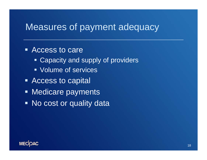## Measures of payment adequacy

■ Access to care

- **Example 2 Capacity and supply of providers**
- Volume of services
- **Access to capital**
- **Medicare payments**
- No cost or quality data

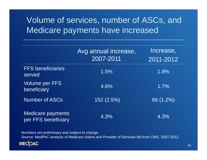## Volume of services, number of ASCs, and Medicare payments have increased

|                                                 | Avg annual increase,<br>2007-2011 | Increase,<br>2011-2012 |
|-------------------------------------------------|-----------------------------------|------------------------|
| <b>FFS beneficiaries</b><br>served              | 1.5%                              | 1.9%                   |
| <b>Volume per FFS</b><br>beneficiary            | 4.6%                              | 1.7%                   |
| <b>Number of ASCs</b>                           | 152 (2.5%)                        | 66 (1.2%)              |
| <b>Medicare payments</b><br>per FFS beneficiary | 4.3%                              | 4.3%                   |

Numbers are preliminary and subject to change. Source: MedPAC analysis of Medicare claims and Provider of Services file from CMS, 2007-2012.MECOAC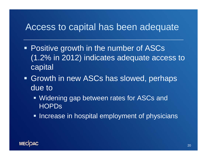## Access to capital has been adequate

- **Positive growth in the number of ASCs** (1.2% in 2012) indicates adequate access to capital
- **Growth in new ASCs has slowed, perhaps 4** due to
	- **Widening gap between rates for ASCs and HOPDs**
	- **Increase in hospital employment of physicians**

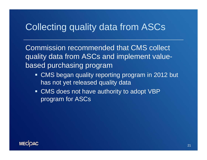## Collecting quality data from ASCs

Commission recommended that CMS collect quality data from ASCs and implement valuebased purchasing program

- CMS began quality reporting program in 2012 but has not yet released quality data
- CMS does not have authority to adopt VBP program for ASCs